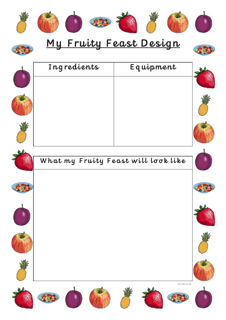

## My Fruity Feast Design



| Ingredients                         | Equipment    |  |
|-------------------------------------|--------------|--|
|                                     |              |  |
|                                     |              |  |
| What my Fruity Feast will look like |              |  |
|                                     |              |  |
|                                     |              |  |
|                                     |              |  |
|                                     | twinkl.co.uk |  |
|                                     |              |  |